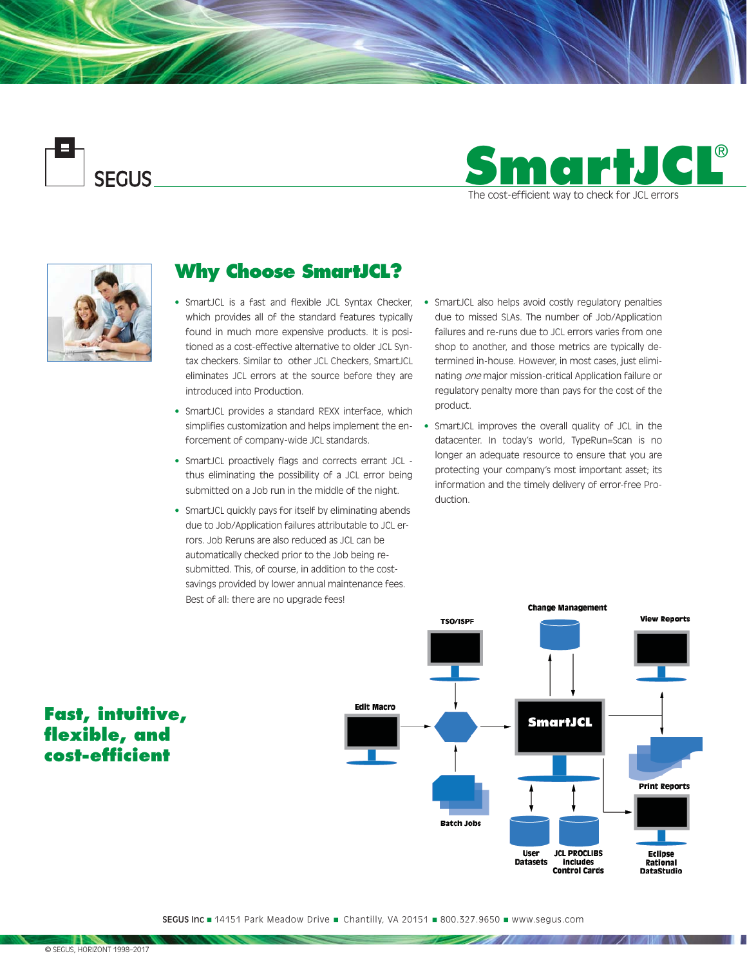**SEGUS** 





# **Why Choose SmartJCL?**

- which provides all of the standard features typically found in much more expensive products. It is positioned as a cost-effective alternative to older JCL Syntax checkers. Similar to other JCL Checkers, SmartJCL eliminates JCL errors at the source before they are introduced into Production.
- SmartJCL provides a standard REXX interface, which simplifies customization and helps implement the enforcement of company-wide JCL standards.
- SmartJCL proactively flags and corrects errant JCL thus eliminating the possibility of a JCL error being submitted on a Job run in the middle of the night.
- SmartJCL quickly pays for itself by eliminating abends due to Job/Application failures attributable to JCL errors. Job Reruns are also reduced as JCL can be automatically checked prior to the Job being resubmitted. This, of course, in addition to the costsavings provided by lower annual maintenance fees. Best of all: there are no upgrade fees!
- SmartJCL is a fast and flexible JCL Syntax Checker, SmartJCL also helps avoid costly regulatory penalties due to missed SLAs. The number of Job/Application failures and re-runs due to JCL errors varies from one shop to another, and those metrics are typically determined in-house. However, in most cases, just eliminating one major mission-critical Application failure or regulatory penalty more than pays for the cost of the product.
	- SmartJCL improves the overall quality of JCL in the datacenter. In today's world, TypeRun=Scan is no longer an adequate resource to ensure that you are protecting your company's most important asset; its information and the timely delivery of error-free Production.



<u> Santa Maria de C</u>

# **Fast, intuitive,**  flexible, and **cost-effi cient**